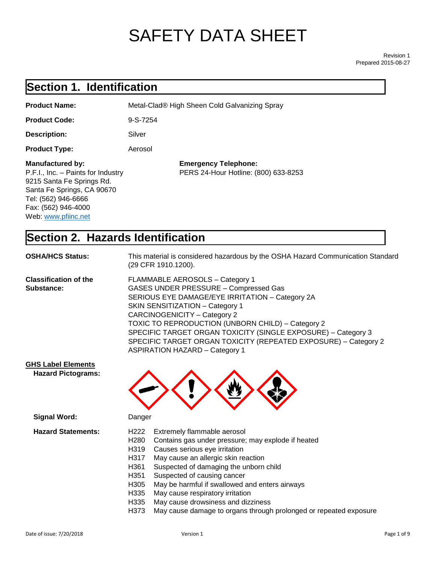# SAFETY DATA SHEET

Revision 1 Prepared 2015-08-27

## **Section 1. Identification**

| <b>Product Name:</b>                                                                                                                                                                          | Metal-Clad® High Sheen Cold Galvanizing Spray                       |
|-----------------------------------------------------------------------------------------------------------------------------------------------------------------------------------------------|---------------------------------------------------------------------|
| <b>Product Code:</b>                                                                                                                                                                          | $9-S-7254$                                                          |
| Description:                                                                                                                                                                                  | Silver                                                              |
| <b>Product Type:</b>                                                                                                                                                                          | Aerosol                                                             |
| <b>Manufactured by:</b><br>P.F.I., Inc. - Paints for Industry<br>9215 Santa Fe Springs Rd.<br>Santa Fe Springs, CA 90670<br>Tel: (562) 946-6666<br>Fax: (562) 946-4000<br>Web: www.pfiinc.net | <b>Emergency Telephone:</b><br>PERS 24-Hour Hotline: (800) 633-8253 |

## **Section 2. Hazards Identification**

| <b>OSHA/HCS Status:</b>                    | This material is considered hazardous by the OSHA Hazard Communication Standard<br>(29 CFR 1910.1200).                                                                                                                                                                                                                                                                                                                                         |
|--------------------------------------------|------------------------------------------------------------------------------------------------------------------------------------------------------------------------------------------------------------------------------------------------------------------------------------------------------------------------------------------------------------------------------------------------------------------------------------------------|
| <b>Classification of the</b><br>Substance: | FLAMMABLE AEROSOLS - Category 1<br><b>GASES UNDER PRESSURE - Compressed Gas</b><br>SERIOUS EYE DAMAGE/EYE IRRITATION - Category 2A<br><b>SKIN SENSITIZATION - Category 1</b><br>CARCINOGENICITY - Category 2<br>TOXIC TO REPRODUCTION (UNBORN CHILD) - Category 2<br>SPECIFIC TARGET ORGAN TOXICITY (SINGLE EXPOSURE) - Category 3<br>SPECIFIC TARGET ORGAN TOXICITY (REPEATED EXPOSURE) - Category 2<br><b>ASPIRATION HAZARD - Category 1</b> |
| <b>GHS Label Elements</b>                  |                                                                                                                                                                                                                                                                                                                                                                                                                                                |

| Signal Word:              |                   | Danger                                                            |  |  |
|---------------------------|-------------------|-------------------------------------------------------------------|--|--|
| <b>Hazard Statements:</b> | H <sub>222</sub>  | Extremely flammable aerosol                                       |  |  |
|                           | H <sub>280</sub>  | Contains gas under pressure; may explode if heated                |  |  |
|                           | H <sub>3</sub> 19 | Causes serious eye irritation                                     |  |  |
|                           | H317              | May cause an allergic skin reaction                               |  |  |
|                           | H <sub>361</sub>  | Suspected of damaging the unborn child                            |  |  |
|                           | H <sub>351</sub>  | Suspected of causing cancer                                       |  |  |
|                           | H <sub>305</sub>  | May be harmful if swallowed and enters airways                    |  |  |
|                           | H <sub>335</sub>  | May cause respiratory irritation                                  |  |  |
|                           | H335              | May cause drowsiness and dizziness                                |  |  |
|                           | H373              | May cause damage to organs through prolonged or repeated exposure |  |  |

 **Hazard Pictograms:**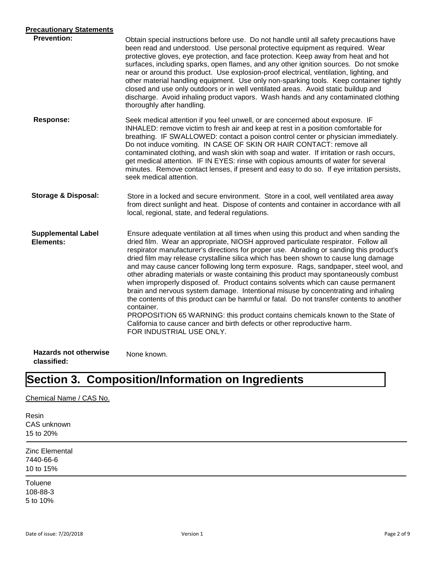| <b>Precautionary Statements</b>             |                                                                                                                                                                                                                                                                                                                                                                                                                                                                                                                                                                                                                                                                                                                                                                                                                                                                                                                                                                                                                          |
|---------------------------------------------|--------------------------------------------------------------------------------------------------------------------------------------------------------------------------------------------------------------------------------------------------------------------------------------------------------------------------------------------------------------------------------------------------------------------------------------------------------------------------------------------------------------------------------------------------------------------------------------------------------------------------------------------------------------------------------------------------------------------------------------------------------------------------------------------------------------------------------------------------------------------------------------------------------------------------------------------------------------------------------------------------------------------------|
| <b>Prevention:</b>                          | Obtain special instructions before use. Do not handle until all safety precautions have<br>been read and understood. Use personal protective equipment as required. Wear<br>protective gloves, eye protection, and face protection. Keep away from heat and hot<br>surfaces, including sparks, open flames, and any other ignition sources. Do not smoke<br>near or around this product. Use explosion-proof electrical, ventilation, lighting, and<br>other material handling equipment. Use only non-sparking tools. Keep container tightly<br>closed and use only outdoors or in well ventilated areas. Avoid static buildup and<br>discharge. Avoid inhaling product vapors. Wash hands and any contaminated clothing<br>thoroughly after handling.                                                                                                                                                                                                                                                                  |
| <b>Response:</b>                            | Seek medical attention if you feel unwell, or are concerned about exposure. IF<br>INHALED: remove victim to fresh air and keep at rest in a position comfortable for<br>breathing. IF SWALLOWED: contact a poison control center or physician immediately.<br>Do not induce vomiting. IN CASE OF SKIN OR HAIR CONTACT: remove all<br>contaminated clothing, and wash skin with soap and water. If irritation or rash occurs,<br>get medical attention. IF IN EYES: rinse with copious amounts of water for several<br>minutes. Remove contact lenses, if present and easy to do so. If eye irritation persists,<br>seek medical attention.                                                                                                                                                                                                                                                                                                                                                                               |
| <b>Storage &amp; Disposal:</b>              | Store in a locked and secure environment. Store in a cool, well ventilated area away<br>from direct sunlight and heat. Dispose of contents and container in accordance with all<br>local, regional, state, and federal regulations.                                                                                                                                                                                                                                                                                                                                                                                                                                                                                                                                                                                                                                                                                                                                                                                      |
| <b>Supplemental Label</b><br>Elements:      | Ensure adequate ventilation at all times when using this product and when sanding the<br>dried film. Wear an appropriate, NIOSH approved particulate respirator. Follow all<br>respirator manufacturer's directions for proper use. Abrading or sanding this product's<br>dried film may release crystalline silica which has been shown to cause lung damage<br>and may cause cancer following long term exposure. Rags, sandpaper, steel wool, and<br>other abrading materials or waste containing this product may spontaneously combust<br>when improperly disposed of. Product contains solvents which can cause permanent<br>brain and nervous system damage. Intentional misuse by concentrating and inhaling<br>the contents of this product can be harmful or fatal. Do not transfer contents to another<br>container.<br>PROPOSITION 65 WARNING: this product contains chemicals known to the State of<br>California to cause cancer and birth defects or other reproductive harm.<br>FOR INDUSTRIAL USE ONLY. |
| <b>Hazards not otherwise</b><br>classified: | None known.                                                                                                                                                                                                                                                                                                                                                                                                                                                                                                                                                                                                                                                                                                                                                                                                                                                                                                                                                                                                              |

## **Section 3. Composition/Information on Ingredients**

#### Chemical Name / CAS No.

Resin CAS unknown 15 to 20%

Zinc Elemental 7440-66-6 10 to 15%

Toluene 108-88-3 5 to 10%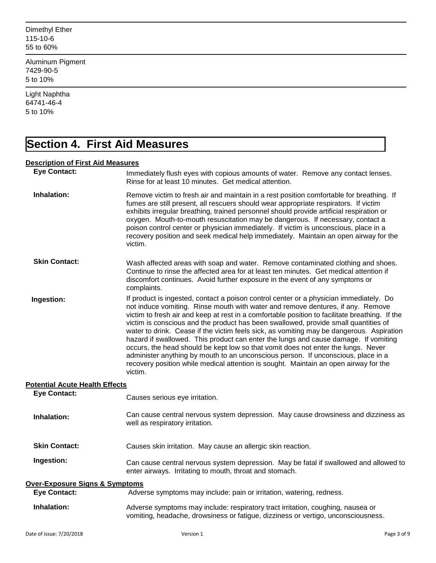Dimethyl Ether 115-10-6 55 to 60%

Aluminum Pigment 7429-90-5 5 to 10%

Light Naphtha 64741-46-4 5 to 10%

## **Section 4. First Aid Measures**

#### **Description of First Aid Measures**

| <b>Eye Contact:</b>                       | Immediately flush eyes with copious amounts of water. Remove any contact lenses.<br>Rinse for at least 10 minutes. Get medical attention.                                                                                                                                                                                                                                                                                                                                                                                                                                                                                                                                                                                                                                                                                          |             |
|-------------------------------------------|------------------------------------------------------------------------------------------------------------------------------------------------------------------------------------------------------------------------------------------------------------------------------------------------------------------------------------------------------------------------------------------------------------------------------------------------------------------------------------------------------------------------------------------------------------------------------------------------------------------------------------------------------------------------------------------------------------------------------------------------------------------------------------------------------------------------------------|-------------|
| Inhalation:                               | Remove victim to fresh air and maintain in a rest position comfortable for breathing. If<br>fumes are still present, all rescuers should wear appropriate respirators. If victim<br>exhibits irregular breathing, trained personnel should provide artificial respiration or<br>oxygen. Mouth-to-mouth resuscitation may be dangerous. If necessary, contact a<br>poison control center or physician immediately. If victim is unconscious, place in a<br>recovery position and seek medical help immediately. Maintain an open airway for the<br>victim.                                                                                                                                                                                                                                                                          |             |
| <b>Skin Contact:</b>                      | Wash affected areas with soap and water. Remove contaminated clothing and shoes.<br>Continue to rinse the affected area for at least ten minutes. Get medical attention if<br>discomfort continues. Avoid further exposure in the event of any symptoms or<br>complaints.                                                                                                                                                                                                                                                                                                                                                                                                                                                                                                                                                          |             |
| Ingestion:                                | If product is ingested, contact a poison control center or a physician immediately. Do<br>not induce vomiting. Rinse mouth with water and remove dentures, if any. Remove<br>victim to fresh air and keep at rest in a comfortable position to facilitate breathing. If the<br>victim is conscious and the product has been swallowed, provide small quantities of<br>water to drink. Cease if the victim feels sick, as vomiting may be dangerous. Aspiration<br>hazard if swallowed. This product can enter the lungs and cause damage. If vomiting<br>occurs, the head should be kept low so that vomit does not enter the lungs. Never<br>administer anything by mouth to an unconscious person. If unconscious, place in a<br>recovery position while medical attention is sought. Maintain an open airway for the<br>victim. |             |
| <b>Potential Acute Health Effects</b>     |                                                                                                                                                                                                                                                                                                                                                                                                                                                                                                                                                                                                                                                                                                                                                                                                                                    |             |
| <b>Eye Contact:</b>                       | Causes serious eye irritation.                                                                                                                                                                                                                                                                                                                                                                                                                                                                                                                                                                                                                                                                                                                                                                                                     |             |
| Inhalation:                               | Can cause central nervous system depression. May cause drowsiness and dizziness as<br>well as respiratory irritation.                                                                                                                                                                                                                                                                                                                                                                                                                                                                                                                                                                                                                                                                                                              |             |
| <b>Skin Contact:</b>                      | Causes skin irritation. May cause an allergic skin reaction.                                                                                                                                                                                                                                                                                                                                                                                                                                                                                                                                                                                                                                                                                                                                                                       |             |
| Ingestion:                                | Can cause central nervous system depression. May be fatal if swallowed and allowed to<br>enter airways. Irritating to mouth, throat and stomach.                                                                                                                                                                                                                                                                                                                                                                                                                                                                                                                                                                                                                                                                                   |             |
| <b>Over-Exposure Signs &amp; Symptoms</b> |                                                                                                                                                                                                                                                                                                                                                                                                                                                                                                                                                                                                                                                                                                                                                                                                                                    |             |
| <b>Eye Contact:</b>                       | Adverse symptoms may include: pain or irritation, watering, redness.                                                                                                                                                                                                                                                                                                                                                                                                                                                                                                                                                                                                                                                                                                                                                               |             |
| Inhalation:                               | Adverse symptoms may include: respiratory tract irritation, coughing, nausea or<br>vomiting, headache, drowsiness or fatigue, dizziness or vertigo, unconsciousness.                                                                                                                                                                                                                                                                                                                                                                                                                                                                                                                                                                                                                                                               |             |
| Date of issue: 7/20/2018                  | Version 1                                                                                                                                                                                                                                                                                                                                                                                                                                                                                                                                                                                                                                                                                                                                                                                                                          | Page 3 of 9 |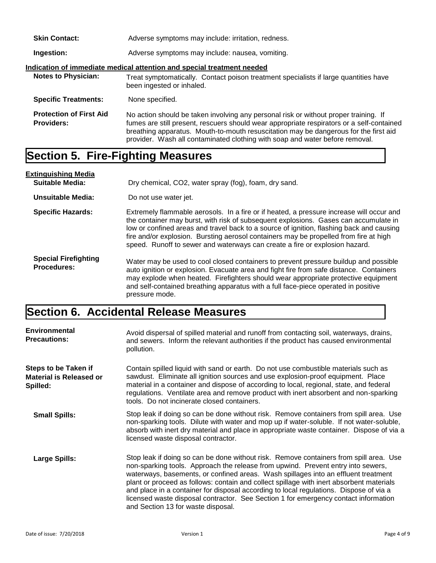| <b>Skin Contact:</b>                                                   | Adverse symptoms may include: irritation, redness.                                                                                                                                                                                                                                                                                                        |  |
|------------------------------------------------------------------------|-----------------------------------------------------------------------------------------------------------------------------------------------------------------------------------------------------------------------------------------------------------------------------------------------------------------------------------------------------------|--|
| Ingestion:                                                             | Adverse symptoms may include: nausea, vomiting.                                                                                                                                                                                                                                                                                                           |  |
| Indication of immediate medical attention and special treatment needed |                                                                                                                                                                                                                                                                                                                                                           |  |
| <b>Notes to Physician:</b>                                             | Treat symptomatically. Contact poison treatment specialists if large quantities have<br>been ingested or inhaled.                                                                                                                                                                                                                                         |  |
| <b>Specific Treatments:</b>                                            | None specified.                                                                                                                                                                                                                                                                                                                                           |  |
| <b>Protection of First Aid</b><br><b>Providers:</b>                    | No action should be taken involving any personal risk or without proper training. If<br>fumes are still present, rescuers should wear appropriate respirators or a self-contained<br>breathing apparatus. Mouth-to-mouth resuscitation may be dangerous for the first aid<br>provider. Wash all contaminated clothing with soap and water before removal. |  |

### **Section 5. Fire-Fighting Measures**

**Extinguishing Media Suitable Media:** Dry chemical, CO2, water spray (fog), foam, dry sand. **Unsuitable Media:** Do not use water jet. **Specific Hazards: Special Firefighting Procedures:** Extremely flammable aerosols. In a fire or if heated, a pressure increase will occur and the container may burst, with risk of subsequent explosions. Gases can accumulate in low or confined areas and travel back to a source of ignition, flashing back and causing fire and/or explosion. Bursting aerosol containers may be propelled from fire at high speed. Runoff to sewer and waterways can create a fire or explosion hazard. Water may be used to cool closed containers to prevent pressure buildup and possible auto ignition or explosion. Evacuate area and fight fire from safe distance. Containers may explode when heated. Firefighters should wear appropriate protective equipment and self-contained breathing apparatus with a full face-piece operated in positive pressure mode.

### **Section 6. Accidental Release Measures**

| <b>Environmental</b><br><b>Precautions:</b>                               | Avoid dispersal of spilled material and runoff from contacting soil, waterways, drains,<br>and sewers. Inform the relevant authorities if the product has caused environmental<br>pollution.                                                                                                                                                                                                                                                                                                                                                                                        |
|---------------------------------------------------------------------------|-------------------------------------------------------------------------------------------------------------------------------------------------------------------------------------------------------------------------------------------------------------------------------------------------------------------------------------------------------------------------------------------------------------------------------------------------------------------------------------------------------------------------------------------------------------------------------------|
| <b>Steps to be Taken if</b><br><b>Material is Released or</b><br>Spilled: | Contain spilled liquid with sand or earth. Do not use combustible materials such as<br>sawdust. Eliminate all ignition sources and use explosion-proof equipment. Place<br>material in a container and dispose of according to local, regional, state, and federal<br>regulations. Ventilate area and remove product with inert absorbent and non-sparking<br>tools. Do not incinerate closed containers.                                                                                                                                                                           |
| <b>Small Spills:</b>                                                      | Stop leak if doing so can be done without risk. Remove containers from spill area. Use<br>non-sparking tools. Dilute with water and mop up if water-soluble. If not water-soluble,<br>absorb with inert dry material and place in appropriate waste container. Dispose of via a<br>licensed waste disposal contractor.                                                                                                                                                                                                                                                              |
| <b>Large Spills:</b>                                                      | Stop leak if doing so can be done without risk. Remove containers from spill area. Use<br>non-sparking tools. Approach the release from upwind. Prevent entry into sewers,<br>waterways, basements, or confined areas. Wash spillages into an effluent treatment<br>plant or proceed as follows: contain and collect spillage with inert absorbent materials<br>and place in a container for disposal according to local regulations. Dispose of via a<br>licensed waste disposal contractor. See Section 1 for emergency contact information<br>and Section 13 for waste disposal. |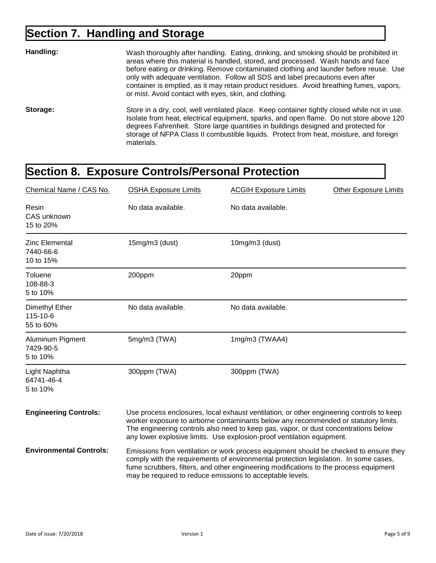## **Section 7. Handling and Storage**

| Handling: | Wash thoroughly after handling. Eating, drinking, and smoking should be prohibited in<br>areas where this material is handled, stored, and processed. Wash hands and face<br>before eating or drinking. Remove contaminated clothing and launder before reuse. Use<br>only with adequate ventilation. Follow all SDS and label precautions even after<br>container is emptied, as it may retain product residues. Avoid breathing fumes, vapors,<br>or mist. Avoid contact with eyes, skin, and clothing. |
|-----------|-----------------------------------------------------------------------------------------------------------------------------------------------------------------------------------------------------------------------------------------------------------------------------------------------------------------------------------------------------------------------------------------------------------------------------------------------------------------------------------------------------------|
| Storage:  | Store in a dry, cool, well ventilated place. Keep container tightly closed while not in use.<br>Isolate from heat, electrical equipment, sparks, and open flame. Do not store above 120<br>degrees Fahrenheit. Store large quantities in buildings designed and protected for<br>storage of NFPA Class II combustible liquids. Protect from heat, moisture, and foreign<br>materials.                                                                                                                     |

## **Section 8. Exposure Controls/Personal Protection**

| Chemical Name / CAS No.                         | <b>OSHA Exposure Limits</b>                                                                                                                                                                                                                                                                                                                      | <b>ACGIH Exposure Limits</b> | <b>Other Exposure Limits</b> |
|-------------------------------------------------|--------------------------------------------------------------------------------------------------------------------------------------------------------------------------------------------------------------------------------------------------------------------------------------------------------------------------------------------------|------------------------------|------------------------------|
| Resin<br>CAS unknown<br>15 to 20%               | No data available.                                                                                                                                                                                                                                                                                                                               | No data available.           |                              |
| <b>Zinc Elemental</b><br>7440-66-6<br>10 to 15% | $15mg/m3$ (dust)                                                                                                                                                                                                                                                                                                                                 | $10mg/m3$ (dust)             |                              |
| Toluene<br>108-88-3<br>5 to 10%                 | 200ppm                                                                                                                                                                                                                                                                                                                                           | 20ppm                        |                              |
| Dimethyl Ether<br>115-10-6<br>55 to 60%         | No data available.                                                                                                                                                                                                                                                                                                                               | No data available.           |                              |
| Aluminum Pigment<br>7429-90-5<br>5 to 10%       | $5mg/m3$ (TWA)                                                                                                                                                                                                                                                                                                                                   | 1mg/m3 (TWAA4)               |                              |
| Light Naphtha<br>64741-46-4<br>5 to 10%         | 300ppm (TWA)                                                                                                                                                                                                                                                                                                                                     | 300ppm (TWA)                 |                              |
| <b>Engineering Controls:</b>                    | Use process enclosures, local exhaust ventilation, or other engineering controls to keep<br>worker exposure to airborne contaminants below any recommended or statutory limits.<br>The engineering controls also need to keep gas, vapor, or dust concentrations below<br>any lower explosive limits. Use explosion-proof ventilation equipment. |                              |                              |
| <b>Environmental Controls:</b>                  | Emissions from ventilation or work process equipment should be checked to ensure they<br>comply with the requirements of environmental protection legislation. In some cases,<br>fume scrubbers, filters, and other engineering modifications to the process equipment<br>may be required to reduce emissions to acceptable levels.              |                              |                              |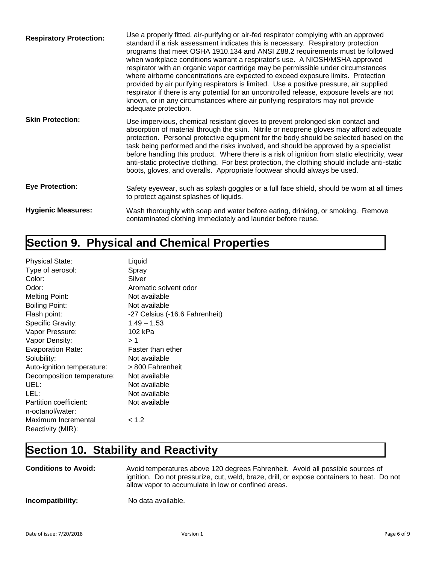| <b>Respiratory Protection:</b> | Use a properly fitted, air-purifying or air-fed respirator complying with an approved<br>standard if a risk assessment indicates this is necessary. Respiratory protection<br>programs that meet OSHA 1910.134 and ANSI Z88.2 requirements must be followed<br>when workplace conditions warrant a respirator's use. A NIOSH/MSHA approved<br>respirator with an organic vapor cartridge may be permissible under circumstances<br>where airborne concentrations are expected to exceed exposure limits. Protection<br>provided by air purifying respirators is limited. Use a positive pressure, air supplied<br>respirator if there is any potential for an uncontrolled release, exposure levels are not<br>known, or in any circumstances where air purifying respirators may not provide<br>adequate protection. |
|--------------------------------|-----------------------------------------------------------------------------------------------------------------------------------------------------------------------------------------------------------------------------------------------------------------------------------------------------------------------------------------------------------------------------------------------------------------------------------------------------------------------------------------------------------------------------------------------------------------------------------------------------------------------------------------------------------------------------------------------------------------------------------------------------------------------------------------------------------------------|
| <b>Skin Protection:</b>        | Use impervious, chemical resistant gloves to prevent prolonged skin contact and<br>absorption of material through the skin. Nitrile or neoprene gloves may afford adequate<br>protection. Personal protective equipment for the body should be selected based on the<br>task being performed and the risks involved, and should be approved by a specialist<br>before handling this product. Where there is a risk of ignition from static electricity, wear<br>anti-static protective clothing. For best protection, the clothing should include anti-static<br>boots, gloves, and overalls. Appropriate footwear should always be used.                                                                                                                                                                             |
| <b>Eye Protection:</b>         | Safety eyewear, such as splash goggles or a full face shield, should be worn at all times<br>to protect against splashes of liquids.                                                                                                                                                                                                                                                                                                                                                                                                                                                                                                                                                                                                                                                                                  |
| <b>Hygienic Measures:</b>      | Wash thoroughly with soap and water before eating, drinking, or smoking. Remove<br>contaminated clothing immediately and launder before reuse.                                                                                                                                                                                                                                                                                                                                                                                                                                                                                                                                                                                                                                                                        |

## **Section 9. Physical and Chemical Properties**

| <b>Physical State:</b>     | Liquid                         |
|----------------------------|--------------------------------|
| Type of aerosol:           | Spray                          |
| Color:                     | Silver                         |
| Odor:                      | Aromatic solvent odor          |
| <b>Melting Point:</b>      | Not available                  |
| <b>Boiling Point:</b>      | Not available                  |
| Flash point:               | -27 Celsius (-16.6 Fahrenheit) |
| Specific Gravity:          | $1.49 - 1.53$                  |
| Vapor Pressure:            | 102 kPa                        |
| Vapor Density:             | >1                             |
| Evaporation Rate:          | Faster than ether              |
| Solubility:                | Not available                  |
| Auto-ignition temperature: | > 800 Fahrenheit               |
| Decomposition temperature: | Not available                  |
| UEL:                       | Not available                  |
| LEL:                       | Not available                  |
| Partition coefficient:     | Not available                  |
| n-octanol/water:           |                                |
| Maximum Incremental        | < 1.2                          |
| Reactivity (MIR):          |                                |

## **Section 10. Stability and Reactivity**

| <b>Conditions to Avoid:</b> | Avoid temperatures above 120 degrees Fahrenheit. Avoid all possible sources of<br>ignition. Do not pressurize, cut, weld, braze, drill, or expose containers to heat. Do not<br>allow vapor to accumulate in low or confined areas. |
|-----------------------------|-------------------------------------------------------------------------------------------------------------------------------------------------------------------------------------------------------------------------------------|
| Incompatibility:            | No data available.                                                                                                                                                                                                                  |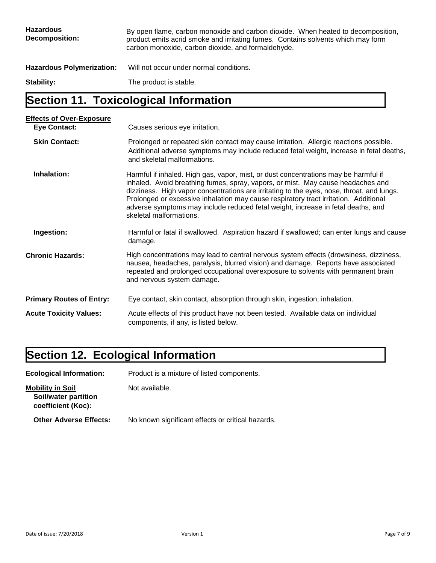| <b>Hazardous</b><br>Decomposition: | By open flame, carbon monoxide and carbon dioxide. When heated to decomposition,<br>product emits acrid smoke and irritating fumes. Contains solvents which may form<br>carbon monoxide, carbon dioxide, and formaldehyde. |
|------------------------------------|----------------------------------------------------------------------------------------------------------------------------------------------------------------------------------------------------------------------------|
| <b>Hazardous Polymerization:</b>   | Will not occur under normal conditions.                                                                                                                                                                                    |
| Stability:                         | The product is stable.                                                                                                                                                                                                     |

## **Section 11. Toxicological Information**

| <b>Effects of Over-Exposure</b> |                                                                                                                                                                                                                                                                                                                                                                                                                                                                            |  |  |
|---------------------------------|----------------------------------------------------------------------------------------------------------------------------------------------------------------------------------------------------------------------------------------------------------------------------------------------------------------------------------------------------------------------------------------------------------------------------------------------------------------------------|--|--|
| <b>Eye Contact:</b>             | Causes serious eye irritation.                                                                                                                                                                                                                                                                                                                                                                                                                                             |  |  |
| <b>Skin Contact:</b>            | Prolonged or repeated skin contact may cause irritation. Allergic reactions possible.<br>Additional adverse symptoms may include reduced fetal weight, increase in fetal deaths,<br>and skeletal malformations.                                                                                                                                                                                                                                                            |  |  |
| Inhalation:                     | Harmful if inhaled. High gas, vapor, mist, or dust concentrations may be harmful if<br>inhaled. Avoid breathing fumes, spray, vapors, or mist. May cause headaches and<br>dizziness. High vapor concentrations are irritating to the eyes, nose, throat, and lungs.<br>Prolonged or excessive inhalation may cause respiratory tract irritation. Additional<br>adverse symptoms may include reduced fetal weight, increase in fetal deaths, and<br>skeletal malformations. |  |  |
| Ingestion:                      | Harmful or fatal if swallowed. Aspiration hazard if swallowed; can enter lungs and cause<br>damage.                                                                                                                                                                                                                                                                                                                                                                        |  |  |
| <b>Chronic Hazards:</b>         | High concentrations may lead to central nervous system effects (drowsiness, dizziness,<br>nausea, headaches, paralysis, blurred vision) and damage. Reports have associated<br>repeated and prolonged occupational overexposure to solvents with permanent brain<br>and nervous system damage.                                                                                                                                                                             |  |  |
| <b>Primary Routes of Entry:</b> | Eye contact, skin contact, absorption through skin, ingestion, inhalation.                                                                                                                                                                                                                                                                                                                                                                                                 |  |  |
| <b>Acute Toxicity Values:</b>   | Acute effects of this product have not been tested. Available data on individual<br>components, if any, is listed below.                                                                                                                                                                                                                                                                                                                                                   |  |  |

## **Section 12. Ecological Information**

**Ecological Information:** Product is a mixture of listed components. **Mobility in Soil** Not available.  **Soil/water partition coefficient (Koc): Other Adverse Effects:** No known significant effects or critical hazards.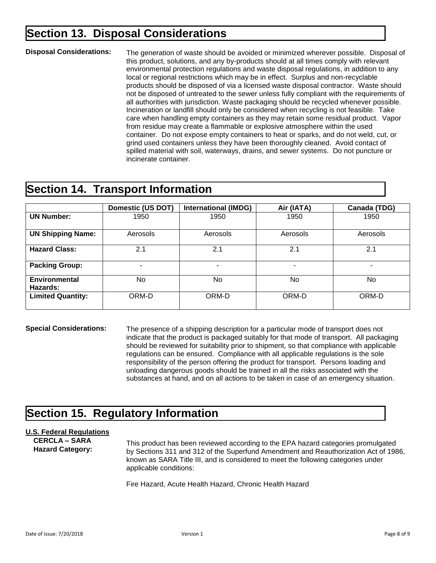### **Section 13. Disposal Considerations**

#### **Disposal Considerations:**

The generation of waste should be avoided or minimized wherever possible. Disposal of this product, solutions, and any by-products should at all times comply with relevant environmental protection regulations and waste disposal regulations, in addition to any local or regional restrictions which may be in effect. Surplus and non-recyclable products should be disposed of via a licensed waste disposal contractor. Waste should not be disposed of untreated to the sewer unless fully compliant with the requirements of all authorities with jurisdiction. Waste packaging should be recycled whenever possible. Incineration or landfill should only be considered when recycling is not feasible. Take care when handling empty containers as they may retain some residual product. Vapor from residue may create a flammable or explosive atmosphere within the used container. Do not expose empty containers to heat or sparks, and do not weld, cut, or grind used containers unless they have been thoroughly cleaned. Avoid contact of spilled material with soil, waterways, drains, and sewer systems. Do not puncture or incinerate container.

#### **Section 14. Transport Information**

|                           | <b>Domestic (US DOT)</b> | <b>International (IMDG)</b> | Air (IATA) | Canada (TDG)             |
|---------------------------|--------------------------|-----------------------------|------------|--------------------------|
| <b>UN Number:</b>         | 1950                     | 1950                        | 1950       | 1950                     |
| <b>UN Shipping Name:</b>  | Aerosols                 | Aerosols                    | Aerosols   | Aerosols                 |
| <b>Hazard Class:</b>      | 2.1                      | 2.1                         | 2.1        | 2.1                      |
| <b>Packing Group:</b>     | ۰                        | ۰                           | -          | $\overline{\phantom{0}}$ |
| Environmental<br>Hazards: | N <sub>o</sub>           | No.                         | No         | No.                      |
| <b>Limited Quantity:</b>  | ORM-D                    | ORM-D                       | ORM-D      | ORM-D                    |

**Special Considerations:**

The presence of a shipping description for a particular mode of transport does not indicate that the product is packaged suitably for that mode of transport. All packaging should be reviewed for suitability prior to shipment, so that compliance with applicable regulations can be ensured. Compliance with all applicable regulations is the sole responsibility of the person offering the product for transport. Persons loading and unloading dangerous goods should be trained in all the risks associated with the substances at hand, and on all actions to be taken in case of an emergency situation.

### **Section 15. Regulatory Information**

#### **U.S. Federal Regulations**

 **CERCLA – SARA Hazard Category:**

This product has been reviewed according to the EPA hazard categories promulgated by Sections 311 and 312 of the Superfund Amendment and Reauthorization Act of 1986, known as SARA Title III, and is considered to meet the following categories under applicable conditions:

Fire Hazard, Acute Health Hazard, Chronic Health Hazard